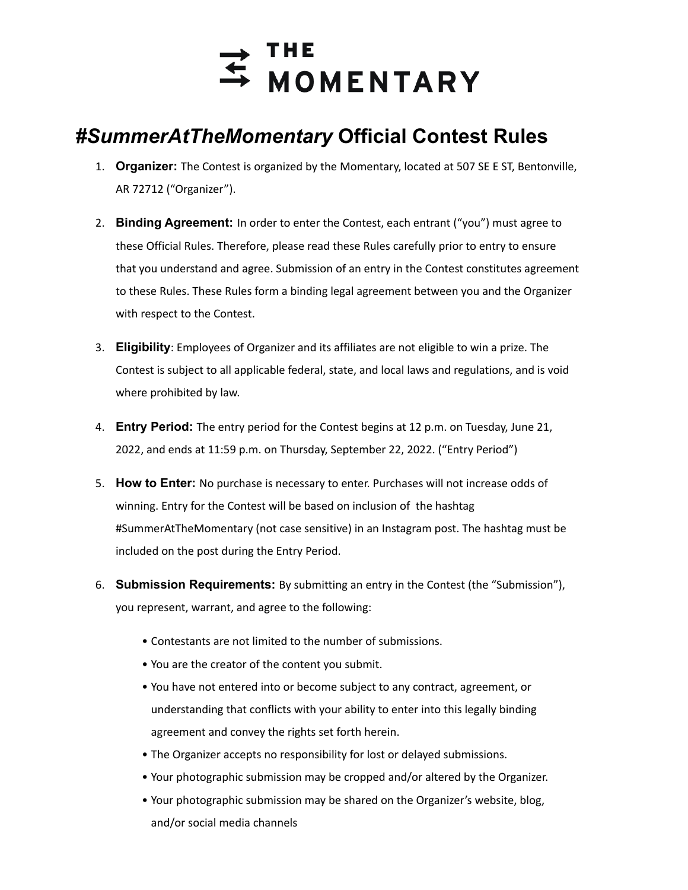

## *#SummerAtTheMomentary* **Official Contest Rules**

- 1. **Organizer:** The Contest is organized by the Momentary, located at 507 SE E ST, Bentonville, AR 72712 ("Organizer").
- 2. **Binding Agreement:** In order to enter the Contest, each entrant ("you") must agree to these Official Rules. Therefore, please read these Rules carefully prior to entry to ensure that you understand and agree. Submission of an entry in the Contest constitutes agreement to these Rules. These Rules form a binding legal agreement between you and the Organizer with respect to the Contest.
- 3. **Eligibility**: Employees of Organizer and its affiliates are not eligible to win a prize. The Contest is subject to all applicable federal, state, and local laws and regulations, and is void where prohibited by law.
- 4. **Entry Period:** The entry period for the Contest begins at 12 p.m. on Tuesday, June 21, 2022, and ends at 11:59 p.m. on Thursday, September 22, 2022. ("Entry Period")
- 5. **How to Enter:** No purchase is necessary to enter. Purchases will not increase odds of winning. Entry for the Contest will be based on inclusion of the hashtag #SummerAtTheMomentary (not case sensitive) in an Instagram post. The hashtag must be included on the post during the Entry Period.
- 6. **Submission Requirements:** By submitting an entry in the Contest (the "Submission"), you represent, warrant, and agree to the following:
	- Contestants are not limited to the number of submissions.
	- You are the creator of the content you submit.
	- You have not entered into or become subject to any contract, agreement, or understanding that conflicts with your ability to enter into this legally binding agreement and convey the rights set forth herein.
	- The Organizer accepts no responsibility for lost or delayed submissions.
	- Your photographic submission may be cropped and/or altered by the Organizer.
	- Your photographic submission may be shared on the Organizer's website, blog, and/or social media channels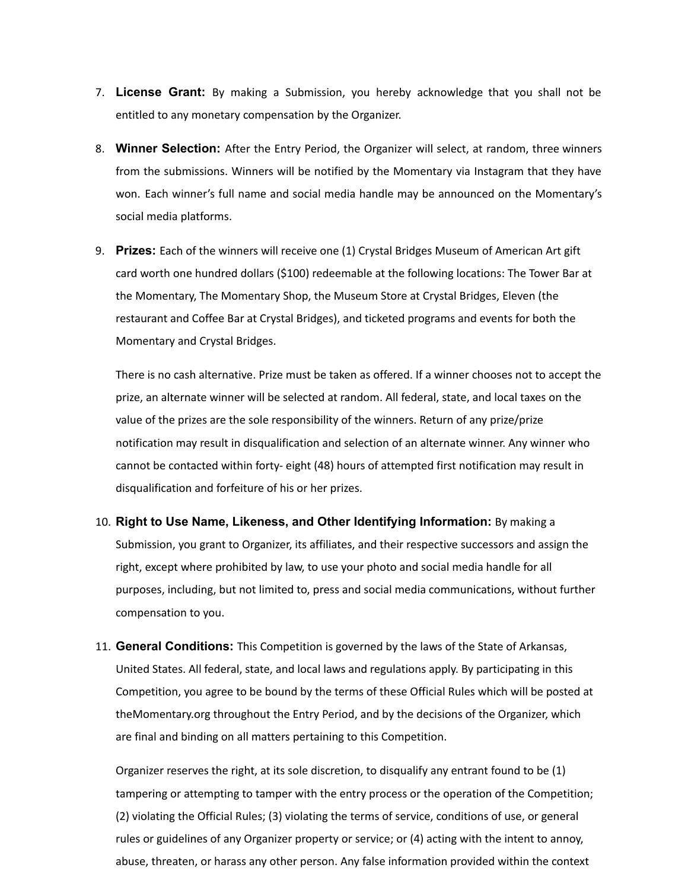- 7. **License Grant:** By making a Submission, you hereby acknowledge that you shall not be entitled to any monetary compensation by the Organizer.
- 8. **Winner Selection:** After the Entry Period, the Organizer will select, at random, three winners from the submissions. Winners will be notified by the Momentary via Instagram that they have won. Each winner's full name and social media handle may be announced on the Momentary's social media platforms.
- 9. **Prizes:** Each of the winners will receive one (1) Crystal Bridges Museum of American Art gift card worth one hundred dollars (\$100) redeemable at the following locations: The Tower Bar at the Momentary, The Momentary Shop, the Museum Store at Crystal Bridges, Eleven (the restaurant and Coffee Bar at Crystal Bridges), and ticketed programs and events for both the Momentary and Crystal Bridges.

There is no cash alternative. Prize must be taken as offered. If a winner chooses not to accept the prize, an alternate winner will be selected at random. All federal, state, and local taxes on the value of the prizes are the sole responsibility of the winners. Return of any prize/prize notification may result in disqualification and selection of an alternate winner. Any winner who cannot be contacted within forty- eight (48) hours of attempted first notification may result in disqualification and forfeiture of his or her prizes.

- 10. **Right to Use Name, Likeness, and Other Identifying Information:** By making a Submission, you grant to Organizer, its affiliates, and their respective successors and assign the right, except where prohibited by law, to use your photo and social media handle for all purposes, including, but not limited to, press and social media communications, without further compensation to you.
- 11. **General Conditions:** This Competition is governed by the laws of the State of Arkansas, United States. All federal, state, and local laws and regulations apply. By participating in this Competition, you agree to be bound by the terms of these Official Rules which will be posted at theMomentary.org throughout the Entry Period, and by the decisions of the Organizer, which are final and binding on all matters pertaining to this Competition.

Organizer reserves the right, at its sole discretion, to disqualify any entrant found to be (1) tampering or attempting to tamper with the entry process or the operation of the Competition; (2) violating the Official Rules; (3) violating the terms of service, conditions of use, or general rules or guidelines of any Organizer property or service; or (4) acting with the intent to annoy, abuse, threaten, or harass any other person. Any false information provided within the context